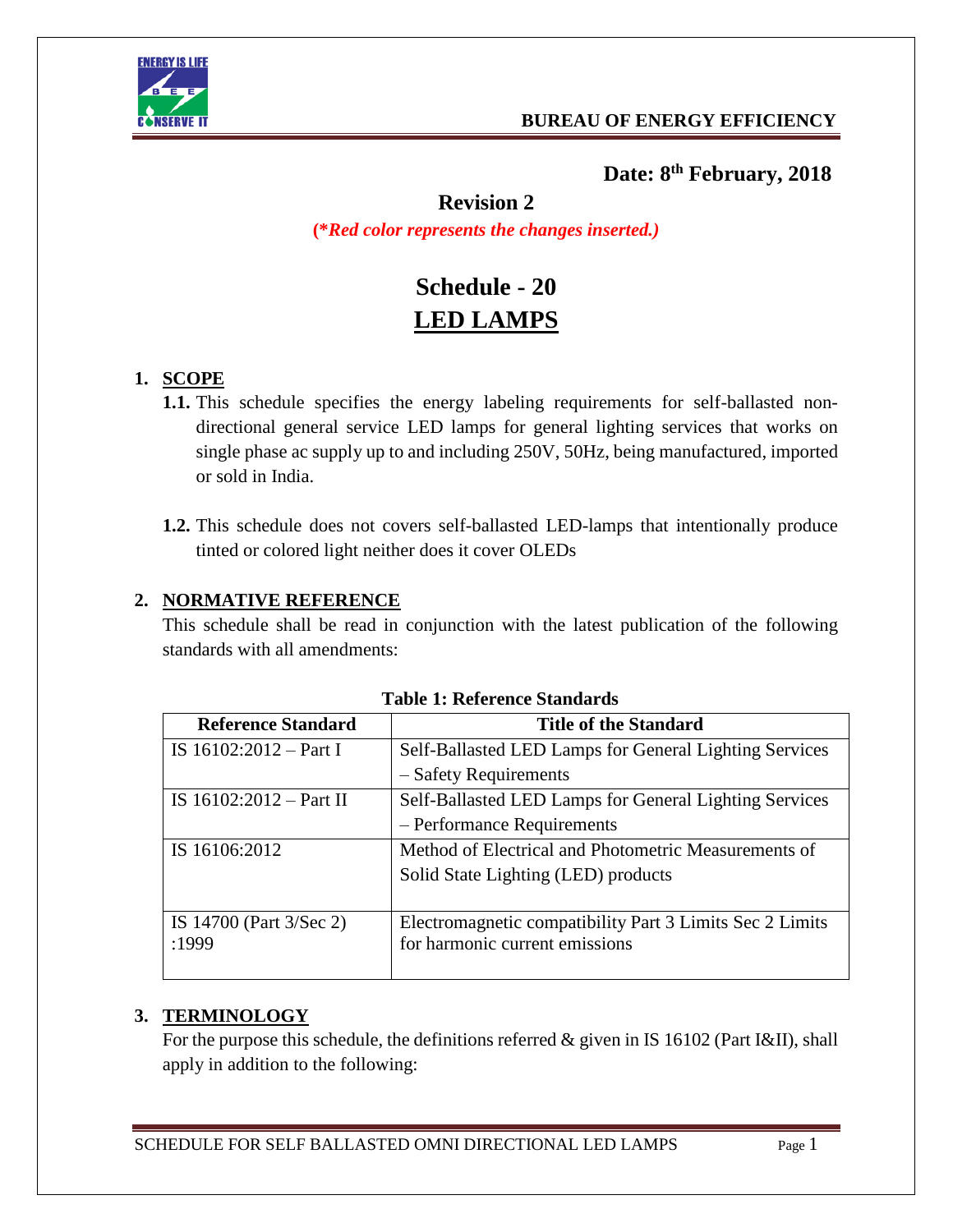

# **Date: 8 th February, 2018**

# **Revision 2**

**(\****Red color represents the changes inserted.)*

# **Schedule - 20 LED LAMPS**

## **1. SCOPE**

- **1.1.** This schedule specifies the energy labeling requirements for self-ballasted nondirectional general service LED lamps for general lighting services that works on single phase ac supply up to and including 250V, 50Hz, being manufactured, imported or sold in India.
- **1.2.** This schedule does not covers self-ballasted LED-lamps that intentionally produce tinted or colored light neither does it cover OLEDs

## **2. NORMATIVE REFERENCE**

This schedule shall be read in conjunction with the latest publication of the following standards with all amendments:

| <b>Reference Standard</b> | <b>Title of the Standard</b>                             |  |  |  |
|---------------------------|----------------------------------------------------------|--|--|--|
| IS $16102:2012 - Part I$  | Self-Ballasted LED Lamps for General Lighting Services   |  |  |  |
|                           | - Safety Requirements                                    |  |  |  |
| IS $16102:2012 - Part II$ | Self-Ballasted LED Lamps for General Lighting Services   |  |  |  |
|                           | - Performance Requirements                               |  |  |  |
| IS 16106:2012             | Method of Electrical and Photometric Measurements of     |  |  |  |
|                           | Solid State Lighting (LED) products                      |  |  |  |
|                           |                                                          |  |  |  |
| IS 14700 (Part 3/Sec 2)   | Electromagnetic compatibility Part 3 Limits Sec 2 Limits |  |  |  |
| :1999                     | for harmonic current emissions                           |  |  |  |
|                           |                                                          |  |  |  |

|  | <b>Table 1: Reference Standards</b> |  |
|--|-------------------------------------|--|
|--|-------------------------------------|--|

#### **3. TERMINOLOGY**

For the purpose this schedule, the definitions referred & given in IS 16102 (Part I&II), shall apply in addition to the following: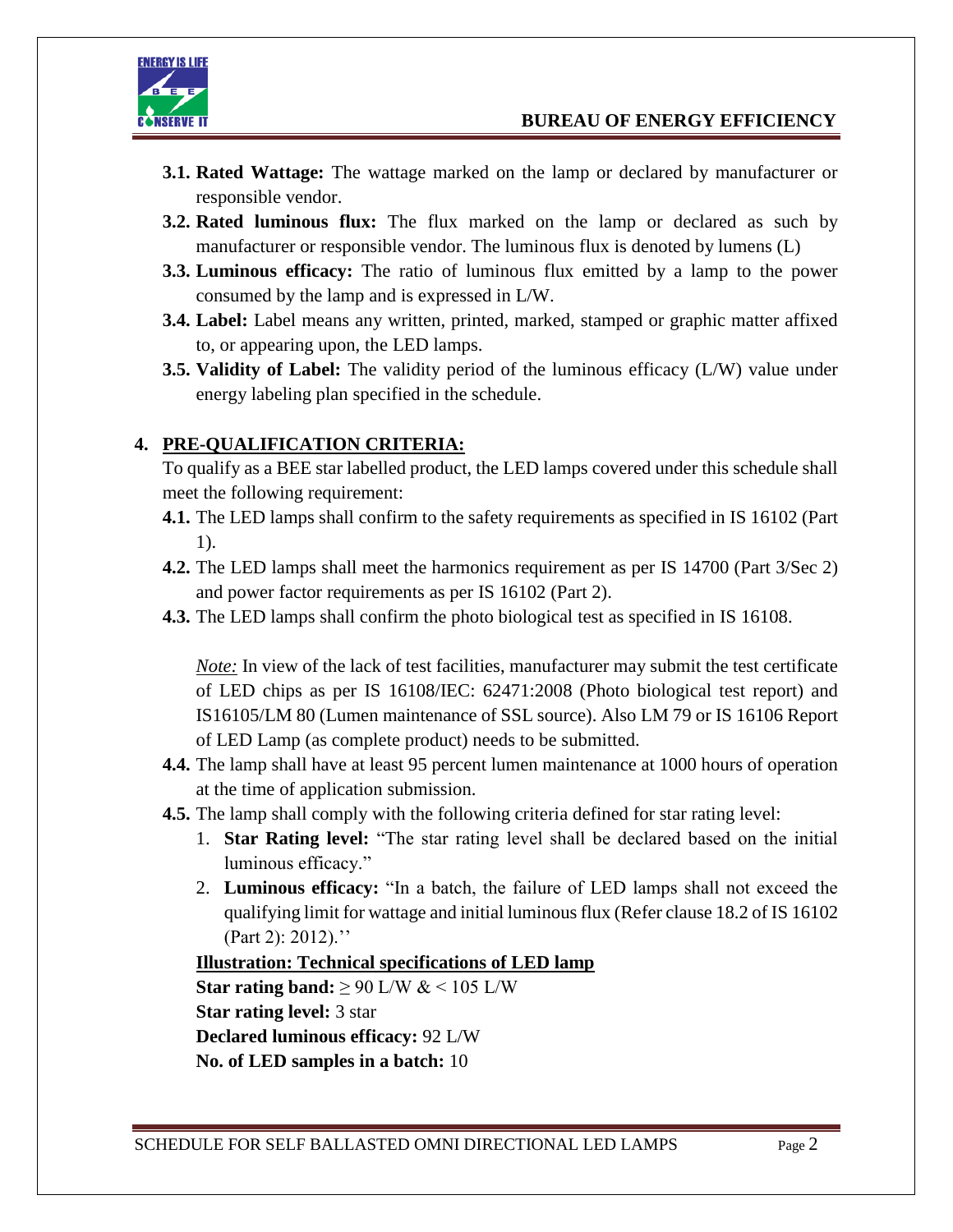

- **3.1. Rated Wattage:** The wattage marked on the lamp or declared by manufacturer or responsible vendor.
- **3.2. Rated luminous flux:** The flux marked on the lamp or declared as such by manufacturer or responsible vendor. The luminous flux is denoted by lumens (L)
- **3.3. Luminous efficacy:** The ratio of luminous flux emitted by a lamp to the power consumed by the lamp and is expressed in L/W.
- **3.4. Label:** Label means any written, printed, marked, stamped or graphic matter affixed to, or appearing upon, the LED lamps.
- **3.5. Validity of Label:** The validity period of the luminous efficacy (L/W) value under energy labeling plan specified in the schedule.

## **4. PRE-QUALIFICATION CRITERIA:**

To qualify as a BEE star labelled product, the LED lamps covered under this schedule shall meet the following requirement:

- **4.1.** The LED lamps shall confirm to the safety requirements as specified in IS 16102 (Part 1).
- **4.2.** The LED lamps shall meet the harmonics requirement as per IS 14700 (Part 3/Sec 2) and power factor requirements as per IS 16102 (Part 2).
- **4.3.** The LED lamps shall confirm the photo biological test as specified in IS 16108.

*Note:* In view of the lack of test facilities, manufacturer may submit the test certificate of LED chips as per IS 16108/IEC: 62471:2008 (Photo biological test report) and IS16105/LM 80 (Lumen maintenance of SSL source). Also LM 79 or IS 16106 Report of LED Lamp (as complete product) needs to be submitted.

- **4.4.** The lamp shall have at least 95 percent lumen maintenance at 1000 hours of operation at the time of application submission.
- **4.5.** The lamp shall comply with the following criteria defined for star rating level:
	- 1. **Star Rating level:** "The star rating level shall be declared based on the initial luminous efficacy."
	- 2. **Luminous efficacy:** "In a batch, the failure of LED lamps shall not exceed the qualifying limit for wattage and initial luminous flux (Refer clause 18.2 of IS 16102 (Part 2): 2012).''

**Illustration: Technical specifications of LED lamp Star rating band:**  $\geq 90$  L/W & < 105 L/W **Star rating level:** 3 star **Declared luminous efficacy:** 92 L/W **No. of LED samples in a batch:** 10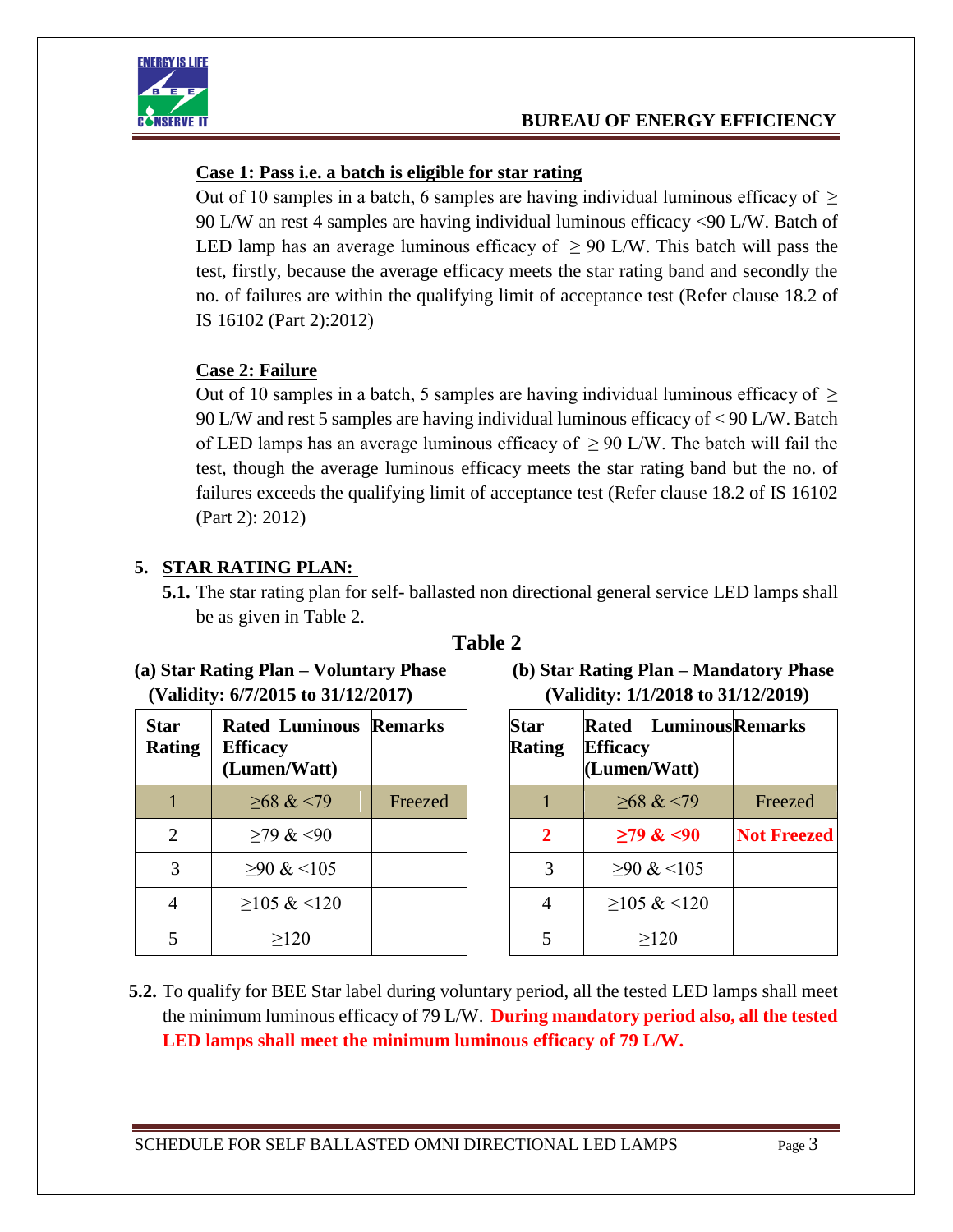

## **Case 1: Pass i.e. a batch is eligible for star rating**

Out of 10 samples in a batch, 6 samples are having individual luminous efficacy of  $\geq$ 90 L/W an rest 4 samples are having individual luminous efficacy <90 L/W. Batch of LED lamp has an average luminous efficacy of  $\geq$  90 L/W. This batch will pass the test, firstly, because the average efficacy meets the star rating band and secondly the no. of failures are within the qualifying limit of acceptance test (Refer clause 18.2 of IS 16102 (Part 2):2012)

## **Case 2: Failure**

Out of 10 samples in a batch, 5 samples are having individual luminous efficacy of  $>$ 90 L/W and rest 5 samples are having individual luminous efficacy of < 90 L/W. Batch of LED lamps has an average luminous efficacy of  $\geq$  90 L/W. The batch will fail the test, though the average luminous efficacy meets the star rating band but the no. of failures exceeds the qualifying limit of acceptance test (Refer clause 18.2 of IS 16102 (Part 2): 2012)

## **5. STAR RATING PLAN:**

**5.1.** The star rating plan for self- ballasted non directional general service LED lamps shall be as given in Table 2.

| (a) Star Rating Plan – Voluntary Phase  | (b) Star Rating Plan – Mandatory Ph |
|-----------------------------------------|-------------------------------------|
| (Validity: $6/7/2015$ to $31/12/2017$ ) | (Validity: 1/1/2018 to 31/12/2019)  |
|                                         |                                     |

| <b>Star</b><br><b>Rating</b> | <b>Rated Luminous Remarks</b><br><b>Efficacy</b><br>(Lumen/Watt) |         | <b>Star</b><br><b>Rating</b> | <b>Rated Lumin</b><br><b>Efficacy</b><br>(Lumen/Watt) |
|------------------------------|------------------------------------------------------------------|---------|------------------------------|-------------------------------------------------------|
|                              | $>68 \< 79$                                                      | Freezed |                              | $>68 \< 79$                                           |
| 2                            | $>79$ & $<90$                                                    |         | $\mathbf{2}$                 | $\geq$ 79 & <90                                       |
| 3                            | $>90 \< 105$                                                     |         | 3                            | $>90 \< 105$                                          |
| $\overline{4}$               | $>105 \< 120$                                                    |         |                              | $>105 \& 120$                                         |
|                              | >120                                                             |         |                              | >120                                                  |

## **Table 2**

| (a) Star Rating Plan – Voluntary Phase | (b) Star Rating Plan – Mandatory Phase |
|----------------------------------------|----------------------------------------|
| (Validity: 6/7/2015 to 31/12/2017)     | (Validity: 1/1/2018 to 31/12/2019)     |

| ır<br>ting   | <b>Rated Luminous Remarks</b><br><b>Efficacy</b><br>(Lumen/Watt) |         | <b>Star</b><br>Rating | <b>Rated Luminous Remarks</b><br><b>Efficacy</b><br>(Lumen/Watt) |                    |
|--------------|------------------------------------------------------------------|---------|-----------------------|------------------------------------------------------------------|--------------------|
| $\mathbf{1}$ | $>68 \< 79$                                                      | Freezed |                       | $>68 \< 79$                                                      | Freezed            |
| 2            | $>79$ & $< 90$                                                   |         | $\mathbf{2}$          | $\geq$ 79 & <90                                                  | <b>Not Freezed</b> |
| 3            | $>90 \< 105$                                                     |         | 3                     | $>90 \< 105$                                                     |                    |
| 4            | $\geq 105 \& 120$                                                |         | $\overline{4}$        | $>105 \< 120$                                                    |                    |
| 5            | >120                                                             |         |                       | $\geq$ 120                                                       |                    |

**5.2.** To qualify for BEE Star label during voluntary period, all the tested LED lamps shall meet the minimum luminous efficacy of 79 L/W. **During mandatory period also, all the tested LED lamps shall meet the minimum luminous efficacy of 79 L/W.**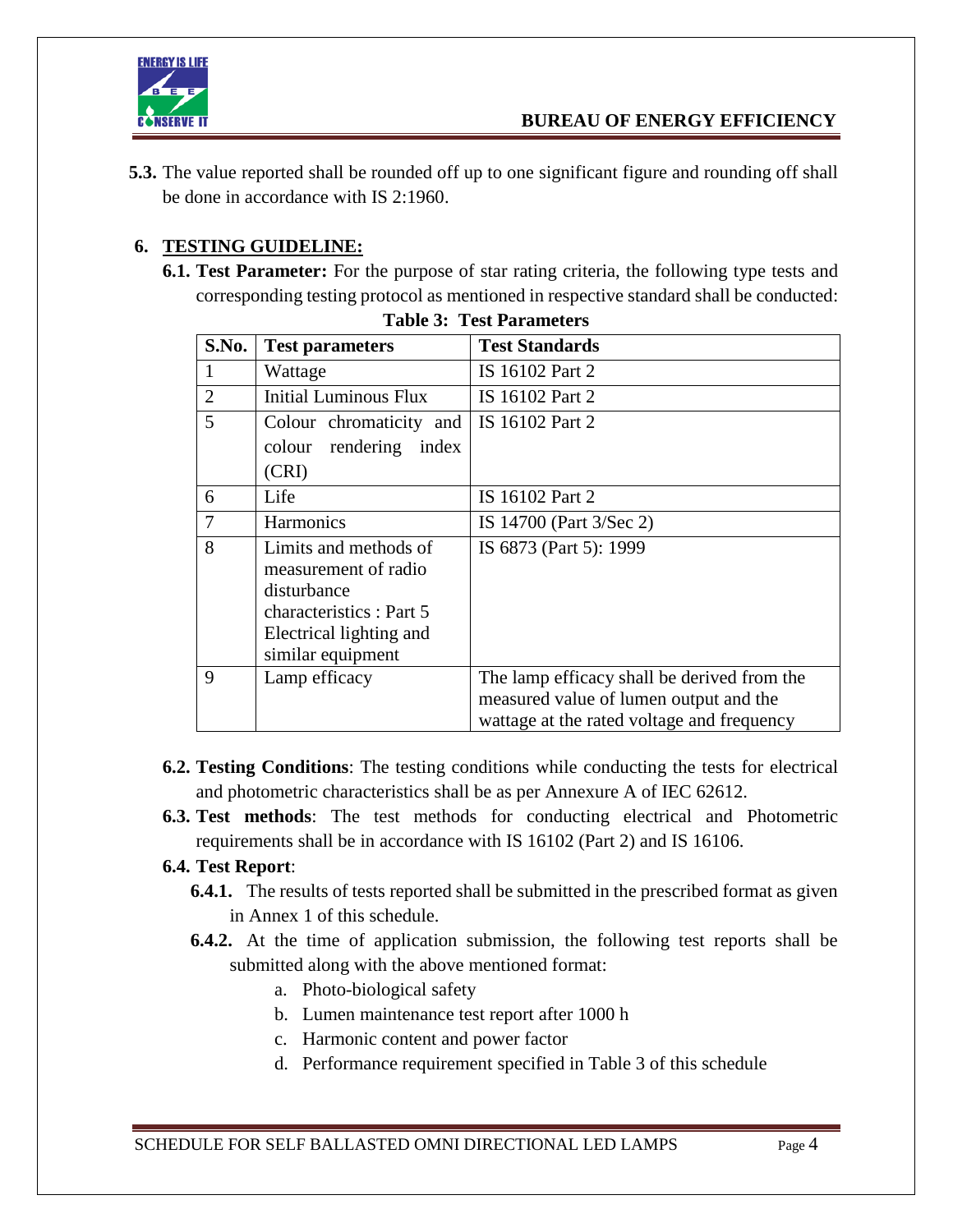

**5.3.** The value reported shall be rounded off up to one significant figure and rounding off shall be done in accordance with IS 2:1960.

## **6. TESTING GUIDELINE:**

**6.1. Test Parameter:** For the purpose of star rating criteria, the following type tests and corresponding testing protocol as mentioned in respective standard shall be conducted:

| S.No.          | <b>Test parameters</b>  | <b>Test Standards</b>                       |
|----------------|-------------------------|---------------------------------------------|
| 1              | Wattage                 | IS 16102 Part 2                             |
| $\overline{2}$ | Initial Luminous Flux   | IS 16102 Part 2                             |
| 5              | Colour chromaticity and | IS 16102 Part 2                             |
|                | colour rendering index  |                                             |
|                | (CRI)                   |                                             |
| 6              | Life                    | IS 16102 Part 2                             |
| 7              | <b>Harmonics</b>        | IS 14700 (Part 3/Sec 2)                     |
| 8              | Limits and methods of   | IS 6873 (Part 5): 1999                      |
|                | measurement of radio    |                                             |
|                | disturbance             |                                             |
|                | characteristics: Part 5 |                                             |
|                | Electrical lighting and |                                             |
|                | similar equipment       |                                             |
| 9              | Lamp efficacy           | The lamp efficacy shall be derived from the |
|                |                         | measured value of lumen output and the      |
|                |                         | wattage at the rated voltage and frequency  |

**Table 3: Test Parameters**

- **6.2. Testing Conditions**: The testing conditions while conducting the tests for electrical and photometric characteristics shall be as per Annexure A of IEC 62612.
- **6.3. Test methods**: The test methods for conducting electrical and Photometric requirements shall be in accordance with IS 16102 (Part 2) and IS 16106.

## **6.4. Test Report**:

- **6.4.1.** The results of tests reported shall be submitted in the prescribed format as given in Annex 1 of this schedule.
- **6.4.2.** At the time of application submission, the following test reports shall be submitted along with the above mentioned format:
	- a. Photo-biological safety
	- b. Lumen maintenance test report after 1000 h
	- c. Harmonic content and power factor
	- d. Performance requirement specified in Table 3 of this schedule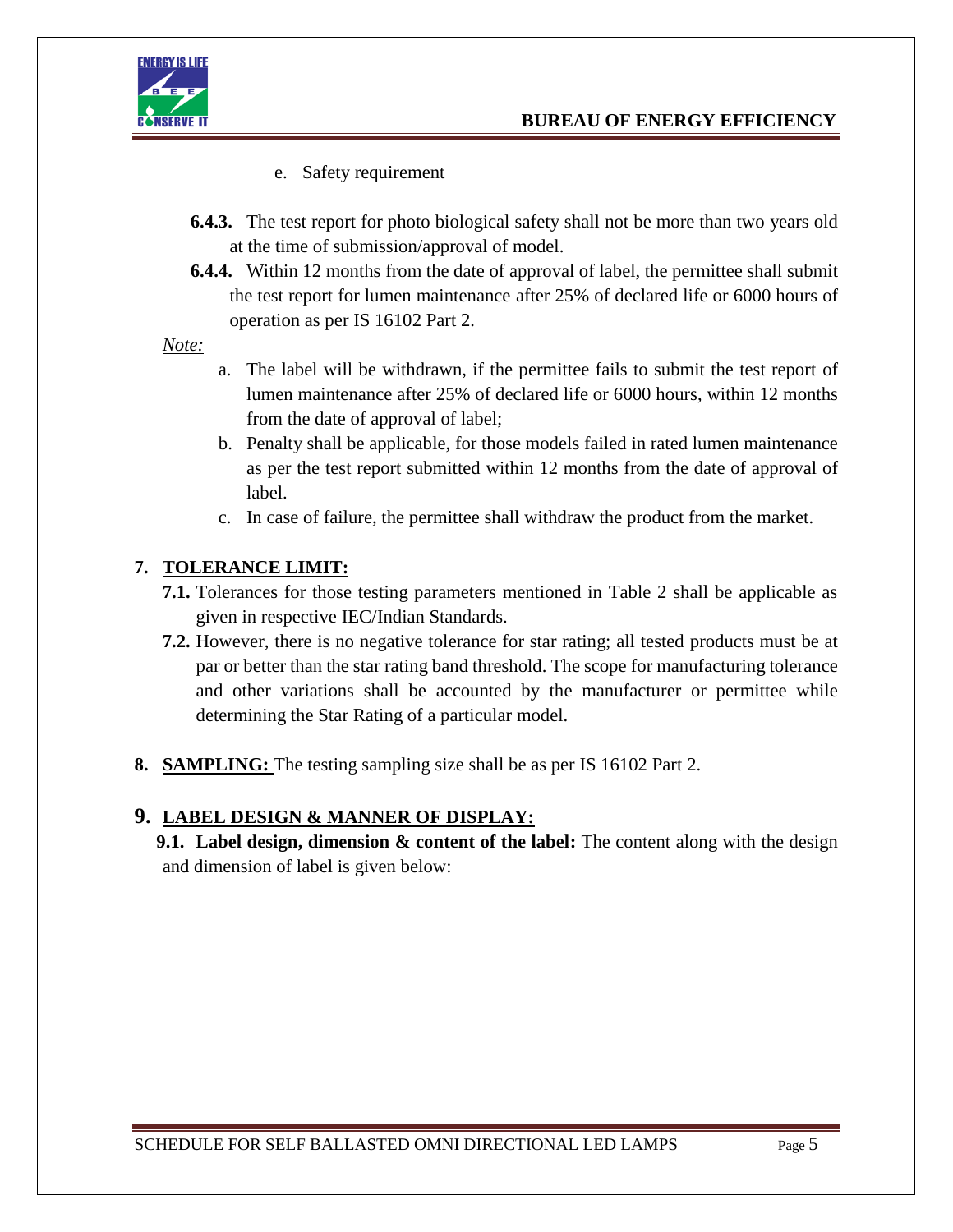

- e. Safety requirement
- **6.4.3.** The test report for photo biological safety shall not be more than two years old at the time of submission/approval of model.
- **6.4.4.** Within 12 months from the date of approval of label, the permittee shall submit the test report for lumen maintenance after 25% of declared life or 6000 hours of operation as per IS 16102 Part 2.

*Note:* 

- a. The label will be withdrawn, if the permittee fails to submit the test report of lumen maintenance after 25% of declared life or 6000 hours, within 12 months from the date of approval of label;
- b. Penalty shall be applicable, for those models failed in rated lumen maintenance as per the test report submitted within 12 months from the date of approval of label.
- c. In case of failure, the permittee shall withdraw the product from the market.

## **7. TOLERANCE LIMIT:**

- **7.1.** Tolerances for those testing parameters mentioned in Table 2 shall be applicable as given in respective IEC/Indian Standards.
- **7.2.** However, there is no negative tolerance for star rating; all tested products must be at par or better than the star rating band threshold. The scope for manufacturing tolerance and other variations shall be accounted by the manufacturer or permittee while determining the Star Rating of a particular model.
- **8. SAMPLING:** The testing sampling size shall be as per IS 16102 Part 2.

## **9. LABEL DESIGN & MANNER OF DISPLAY:**

**9.1. Label design, dimension & content of the label:** The content along with the design and dimension of label is given below: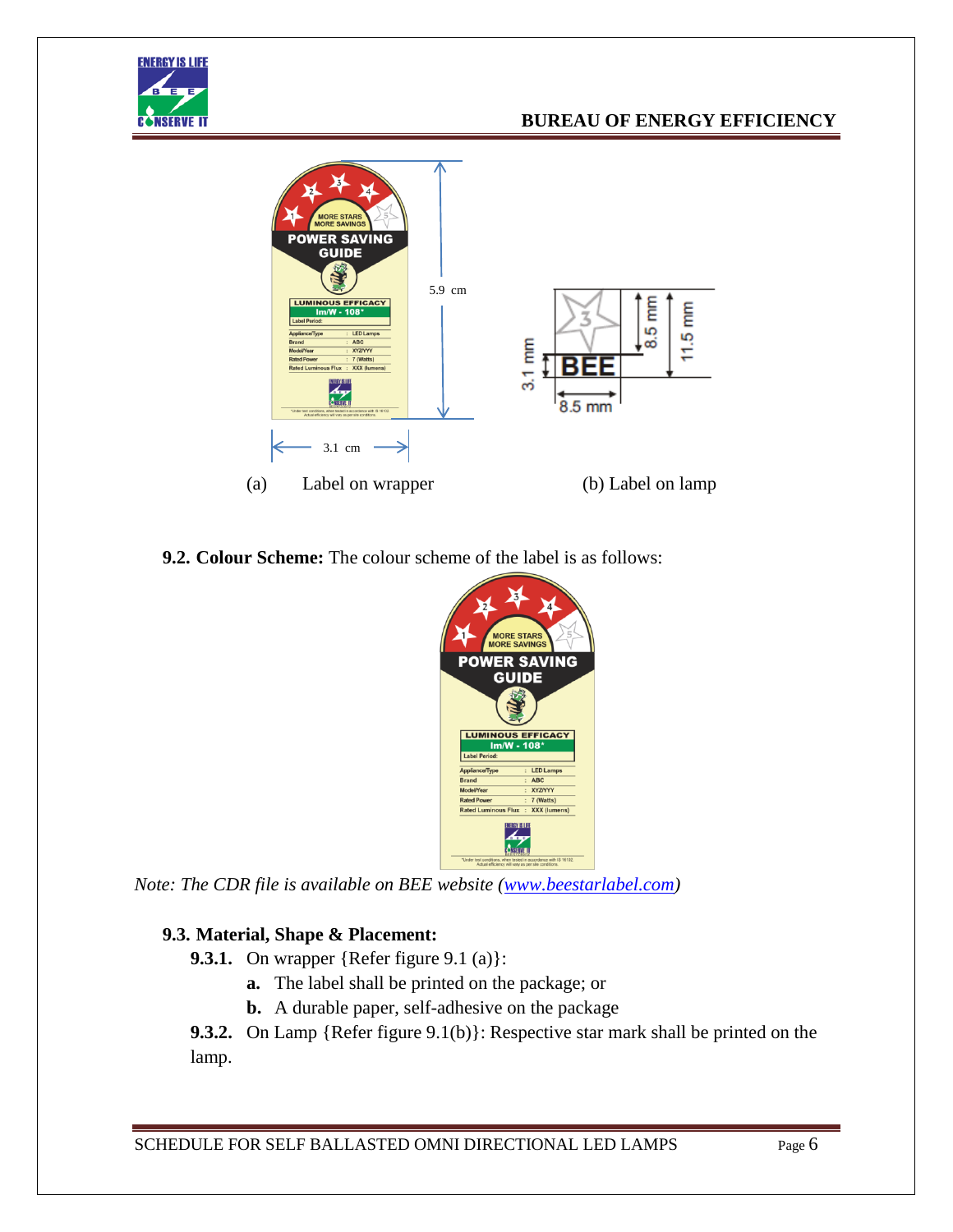



**9.2. Colour Scheme:** The colour scheme of the label is as follows:



*Note: The CDR file is available on BEE website [\(www.beestarlabel.com\)](http://www.beestarlabel.com/)* 

#### **9.3. Material, Shape & Placement:**

**9.3.1.** On wrapper {Refer figure 9.1 (a)}:

- **a.** The label shall be printed on the package; or
- **b.** A durable paper, self-adhesive on the package

**9.3.2.** On Lamp {Refer figure 9.1(b)}: Respective star mark shall be printed on the lamp.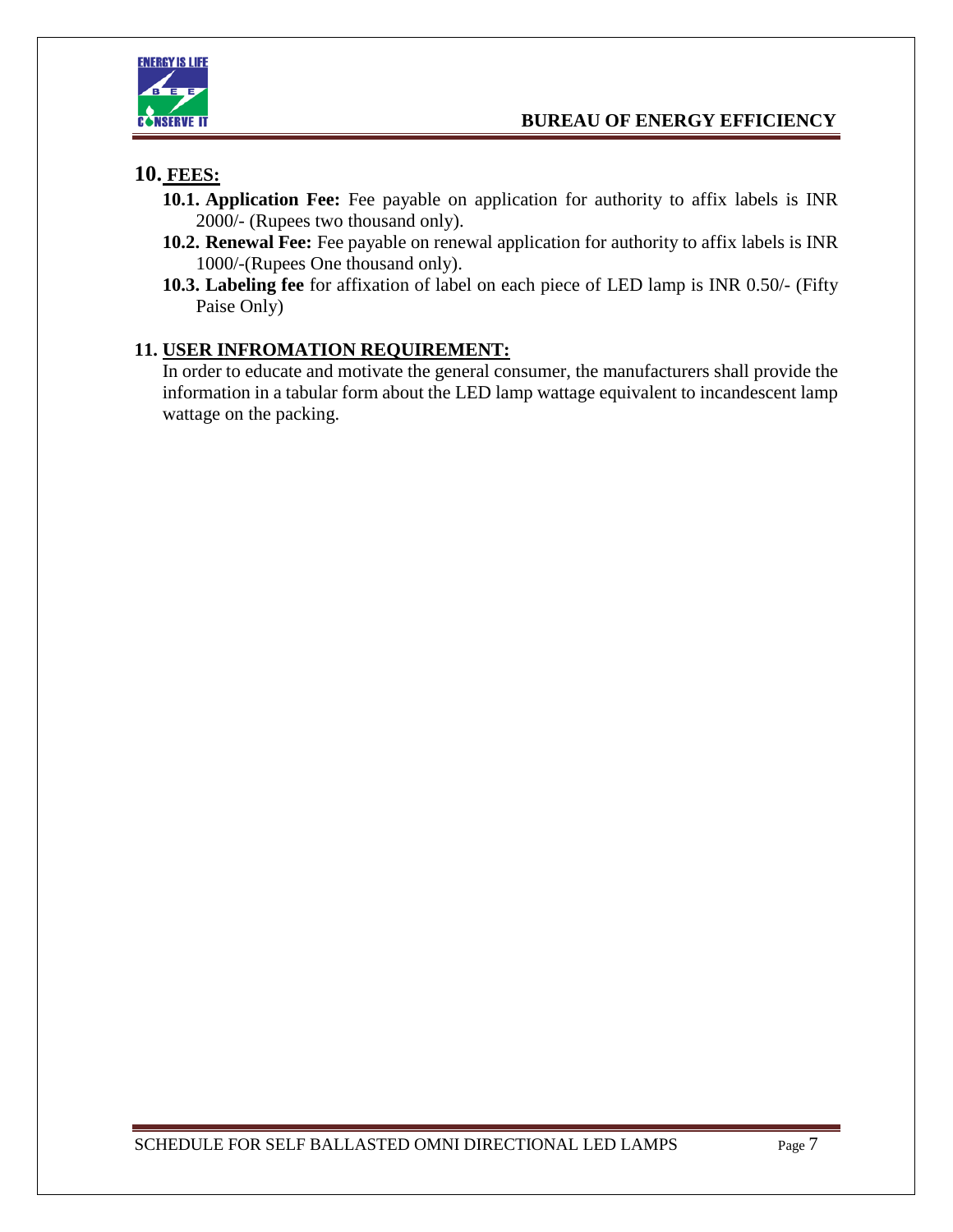

#### **10. FEES:**

- **10.1. Application Fee:** Fee payable on application for authority to affix labels is INR 2000/- (Rupees two thousand only).
- **10.2. Renewal Fee:** Fee payable on renewal application for authority to affix labels is INR 1000/-(Rupees One thousand only).
- **10.3. Labeling fee** for affixation of label on each piece of LED lamp is INR 0.50/- (Fifty Paise Only)

#### **11. USER INFROMATION REQUIREMENT:**

In order to educate and motivate the general consumer, the manufacturers shall provide the information in a tabular form about the LED lamp wattage equivalent to incandescent lamp wattage on the packing.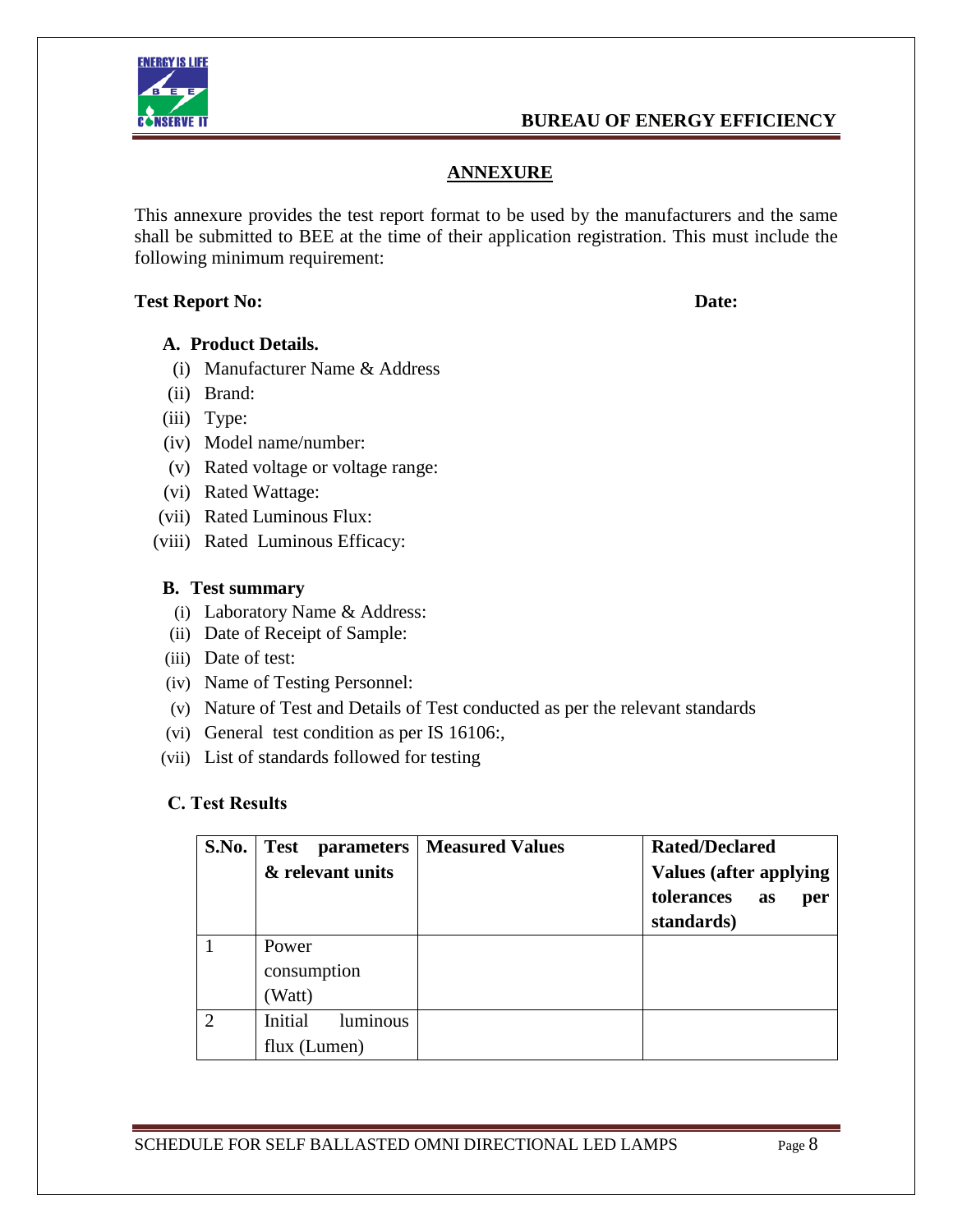

## **ANNEXURE**

This annexure provides the test report format to be used by the manufacturers and the same shall be submitted to BEE at the time of their application registration. This must include the following minimum requirement:

#### **Test Report No:** Date:

#### **A. Product Details.**

- (i) Manufacturer Name & Address
- (ii) Brand:
- (iii) Type:
- (iv) Model name/number:
- (v) Rated voltage or voltage range:
- (vi) Rated Wattage:
- (vii) Rated Luminous Flux:
- (viii) Rated Luminous Efficacy:

#### **B. Test summary**

- (i) Laboratory Name & Address:
- (ii) Date of Receipt of Sample:
- (iii) Date of test:
- (iv) Name of Testing Personnel:
- (v) Nature of Test and Details of Test conducted as per the relevant standards
- (vi) General test condition as per IS 16106:,
- (vii) List of standards followed for testing

#### **C. Test Results**

| <b>S.No.</b>   | <b>Test</b><br><i>parameters</i> | <b>Measured Values</b> | <b>Rated/Declared</b>          |
|----------------|----------------------------------|------------------------|--------------------------------|
|                | & relevant units                 |                        | <b>Values (after applying</b>  |
|                |                                  |                        | tolerances<br><b>as</b><br>per |
|                |                                  |                        | standards)                     |
|                | Power                            |                        |                                |
|                | consumption                      |                        |                                |
|                | (Watt)                           |                        |                                |
| $\overline{2}$ | Initial<br>luminous              |                        |                                |
|                | flux (Lumen)                     |                        |                                |